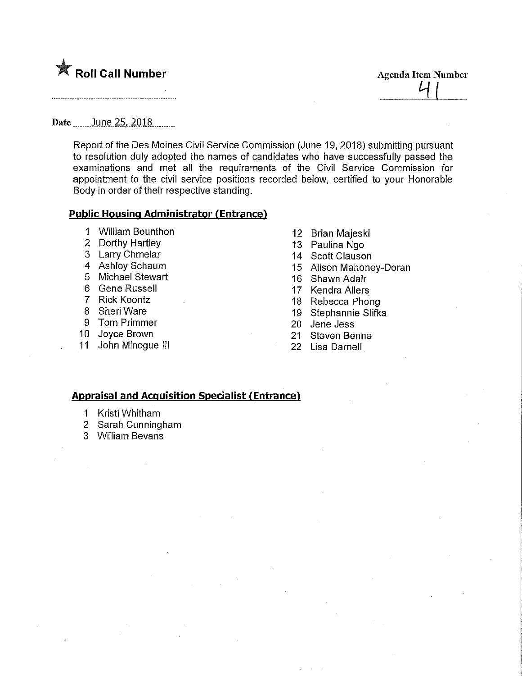

Date \_\_\_\_\_\_ June\_25, 2018 \_\_\_\_\_

Report of the Des Moines Civil Service Commission (June 19, 2018) submitting pursuant to resolution duly adopted the names of candidates who have successfully passed the examinations and met ali the requirements of the Civil Service Commission for appointment to the civil service positions recorded below, certified to your Honorable Body in order of their respective standing.

## Public Housing Administrator (Entrance)

- 1 William Bounthon
- 2 Dorthy Hartley
- 3 LarryChmelar
- 4 Ashley Schaum
- 5 Michael Stewart
- 6 Gene Russell
- 7 Rick Koontz
- 8 SheriWare
- 9 Tom Primmer
- 10 Joyce Brown
- 
- 11 John Minogue III
- 12 Brian Majeski
- 13 Paulina Ngo
- 14 Scott Clauson
- 15 Alison Mahoney-Doran

**Agenda Item Number** 

- 16 Shawn Adair
- 17 Kendra Allers
- 18 Rebecca Phong
- 19 Stephannie Slifka
- 20 Jene Jess
- 21 Steven Benne
- 22 Lisa Darnell

## Appraisal and Acquisition Specialist (Entrance)

- 1 Kristi Whitham
- 2 Sarah Cunningham
- 3 William Bevans